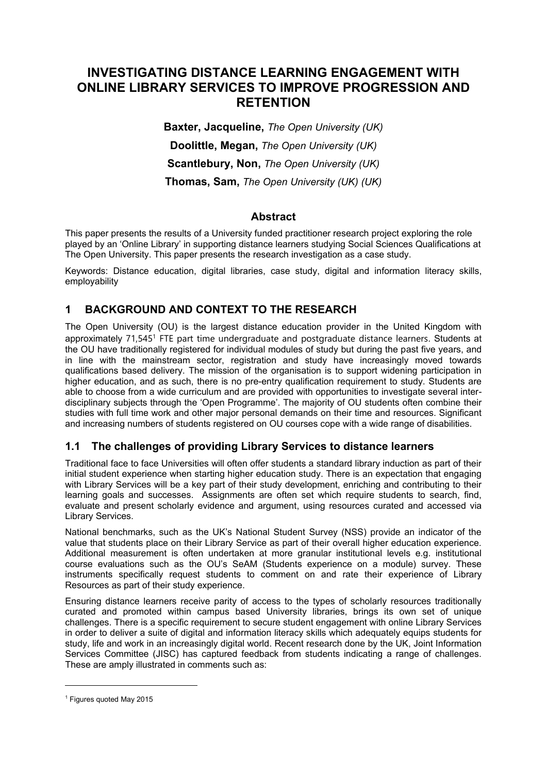# **INVESTIGATING DISTANCE LEARNING ENGAGEMENT WITH ONLINE LIBRARY SERVICES TO IMPROVE PROGRESSION AND RETENTION**

**Baxter, Jacqueline,** *The Open University (UK)* **Doolittle, Megan,** *The Open University (UK)* **Scantlebury, Non,** *The Open University (UK)* **Thomas, Sam,** *The Open University (UK) (UK)*

### **Abstract**

This paper presents the results of a University funded practitioner research project exploring the role played by an 'Online Library' in supporting distance learners studying Social Sciences Qualifications at The Open University. This paper presents the research investigation as a case study.

Keywords: Distance education, digital libraries, case study, digital and information literacy skills, employability

## **1 BACKGROUND AND CONTEXT TO THE RESEARCH**

The Open University (OU) is the largest distance education provider in the United Kingdom with approximately 71,545<sup>1</sup> FTE part time undergraduate and postgraduate distance learners. Students at the OU have traditionally registered for individual modules of study but during the past five years, and in line with the mainstream sector, registration and study have increasingly moved towards qualifications based delivery. The mission of the organisation is to support widening participation in higher education, and as such, there is no pre-entry qualification requirement to study. Students are able to choose from a wide curriculum and are provided with opportunities to investigate several interdisciplinary subjects through the 'Open Programme'. The majority of OU students often combine their studies with full time work and other major personal demands on their time and resources. Significant and increasing numbers of students registered on OU courses cope with a wide range of disabilities.

## **1.1 The challenges of providing Library Services to distance learners**

Traditional face to face Universities will often offer students a standard library induction as part of their initial student experience when starting higher education study. There is an expectation that engaging with Library Services will be a key part of their study development, enriching and contributing to their learning goals and successes. Assignments are often set which require students to search, find, evaluate and present scholarly evidence and argument, using resources curated and accessed via Library Services.

National benchmarks, such as the UK's National Student Survey (NSS) provide an indicator of the value that students place on their Library Service as part of their overall higher education experience. Additional measurement is often undertaken at more granular institutional levels e.g. institutional course evaluations such as the OU's SeAM (Students experience on a module) survey. These instruments specifically request students to comment on and rate their experience of Library Resources as part of their study experience.

Ensuring distance learners receive parity of access to the types of scholarly resources traditionally curated and promoted within campus based University libraries, brings its own set of unique challenges. There is a specific requirement to secure student engagement with online Library Services in order to deliver a suite of digital and information literacy skills which adequately equips students for study, life and work in an increasingly digital world. Recent research done by the UK, Joint Information Services Committee (JISC) has captured feedback from students indicating a range of challenges. These are amply illustrated in comments such as:

-

<sup>1</sup> Figures quoted May 2015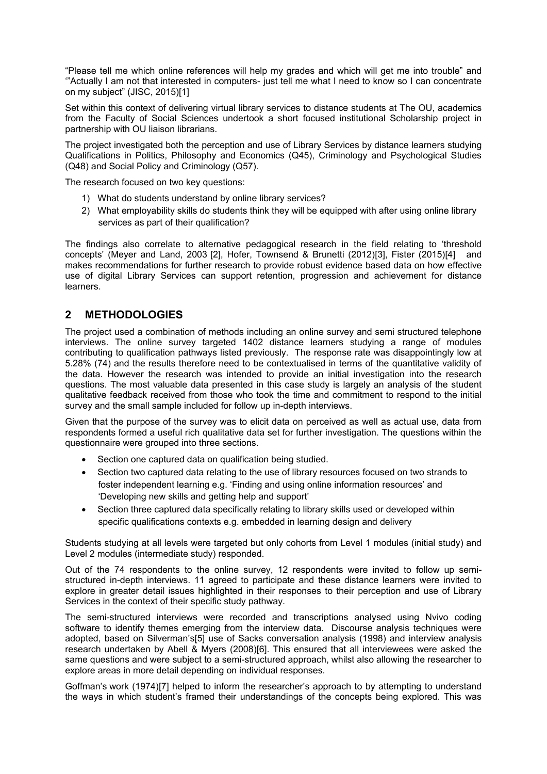"Please tell me which online references will help my grades and which will get me into trouble" and '"Actually I am not that interested in computers- just tell me what I need to know so I can concentrate on my subject" (JISC, 2015)[1]

Set within this context of delivering virtual library services to distance students at The OU, academics from the Faculty of Social Sciences undertook a short focused institutional Scholarship project in partnership with OU liaison librarians.

The project investigated both the perception and use of Library Services by distance learners studying Qualifications in Politics, Philosophy and Economics (Q45), Criminology and Psychological Studies (Q48) and Social Policy and Criminology (Q57).

The research focused on two key questions:

- 1) What do students understand by online library services?
- 2) What employability skills do students think they will be equipped with after using online library services as part of their qualification?

The findings also correlate to alternative pedagogical research in the field relating to 'threshold concepts' (Meyer and Land, 2003 [2], Hofer, Townsend & Brunetti (2012)[3], Fister (2015)[4] and makes recommendations for further research to provide robust evidence based data on how effective use of digital Library Services can support retention, progression and achievement for distance learners.

## **2 METHODOLOGIES**

The project used a combination of methods including an online survey and semi structured telephone interviews. The online survey targeted 1402 distance learners studying a range of modules contributing to qualification pathways listed previously. The response rate was disappointingly low at 5.28% (74) and the results therefore need to be contextualised in terms of the quantitative validity of the data. However the research was intended to provide an initial investigation into the research questions. The most valuable data presented in this case study is largely an analysis of the student qualitative feedback received from those who took the time and commitment to respond to the initial survey and the small sample included for follow up in-depth interviews.

Given that the purpose of the survey was to elicit data on perceived as well as actual use, data from respondents formed a useful rich qualitative data set for further investigation. The questions within the questionnaire were grouped into three sections.

- Section one captured data on qualification being studied.
- Section two captured data relating to the use of library resources focused on two strands to foster independent learning e.g. 'Finding and using online information resources' and 'Developing new skills and getting help and support'
- Section three captured data specifically relating to library skills used or developed within specific qualifications contexts e.g. embedded in learning design and delivery

Students studying at all levels were targeted but only cohorts from Level 1 modules (initial study) and Level 2 modules (intermediate study) responded.

Out of the 74 respondents to the online survey, 12 respondents were invited to follow up semistructured in-depth interviews. 11 agreed to participate and these distance learners were invited to explore in greater detail issues highlighted in their responses to their perception and use of Library Services in the context of their specific study pathway.

The semi-structured interviews were recorded and transcriptions analysed using Nvivo coding software to identify themes emerging from the interview data. Discourse analysis techniques were adopted, based on Silverman's[5] use of Sacks conversation analysis (1998) and interview analysis research undertaken by Abell & Myers (2008)[6]. This ensured that all interviewees were asked the same questions and were subject to a semi-structured approach, whilst also allowing the researcher to explore areas in more detail depending on individual responses.

Goffman's work (1974)[7] helped to inform the researcher's approach to by attempting to understand the ways in which student's framed their understandings of the concepts being explored. This was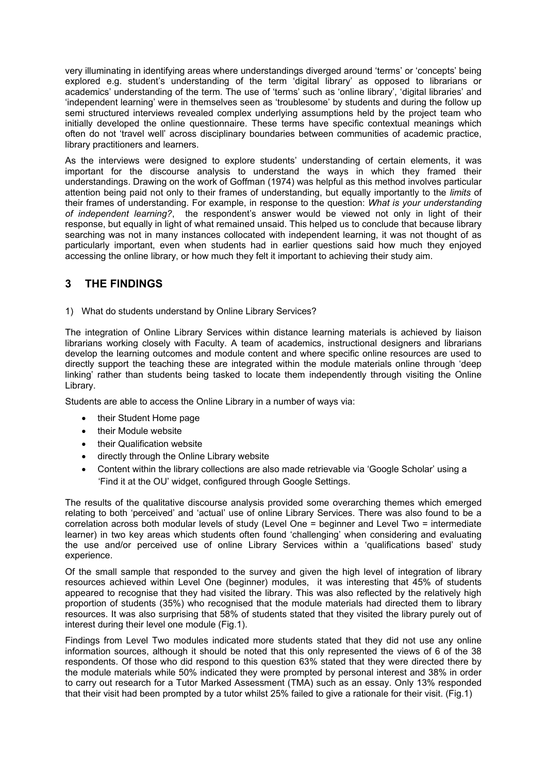very illuminating in identifying areas where understandings diverged around 'terms' or 'concepts' being explored e.g. student's understanding of the term 'digital library' as opposed to librarians or academics' understanding of the term. The use of 'terms' such as 'online library', 'digital libraries' and 'independent learning' were in themselves seen as 'troublesome' by students and during the follow up semi structured interviews revealed complex underlying assumptions held by the project team who initially developed the online questionnaire. These terms have specific contextual meanings which often do not 'travel well' across disciplinary boundaries between communities of academic practice, library practitioners and learners.

As the interviews were designed to explore students' understanding of certain elements, it was important for the discourse analysis to understand the ways in which they framed their understandings. Drawing on the work of Goffman (1974) was helpful as this method involves particular attention being paid not only to their frames of understanding, but equally importantly to the *limits* of their frames of understanding. For example, in response to the question: *What is your understanding of independent learning?*, the respondent's answer would be viewed not only in light of their response, but equally in light of what remained unsaid. This helped us to conclude that because library searching was not in many instances collocated with independent learning, it was not thought of as particularly important, even when students had in earlier questions said how much they enjoyed accessing the online library, or how much they felt it important to achieving their study aim.

## **3 THE FINDINGS**

1) What do students understand by Online Library Services?

The integration of Online Library Services within distance learning materials is achieved by liaison librarians working closely with Faculty. A team of academics, instructional designers and librarians develop the learning outcomes and module content and where specific online resources are used to directly support the teaching these are integrated within the module materials online through 'deep linking' rather than students being tasked to locate them independently through visiting the Online Library.

Students are able to access the Online Library in a number of ways via:

- their Student Home page
- their Module website
- their Qualification website
- directly through the Online Library website
- Content within the library collections are also made retrievable via 'Google Scholar' using a 'Find it at the OU' widget, configured through Google Settings.

The results of the qualitative discourse analysis provided some overarching themes which emerged relating to both 'perceived' and 'actual' use of online Library Services. There was also found to be a correlation across both modular levels of study (Level One = beginner and Level Two = intermediate learner) in two key areas which students often found 'challenging' when considering and evaluating the use and/or perceived use of online Library Services within a 'qualifications based' study experience.

Of the small sample that responded to the survey and given the high level of integration of library resources achieved within Level One (beginner) modules, it was interesting that 45% of students appeared to recognise that they had visited the library. This was also reflected by the relatively high proportion of students (35%) who recognised that the module materials had directed them to library resources. It was also surprising that 58% of students stated that they visited the library purely out of interest during their level one module (Fig.1).

Findings from Level Two modules indicated more students stated that they did not use any online information sources, although it should be noted that this only represented the views of 6 of the 38 respondents. Of those who did respond to this question 63% stated that they were directed there by the module materials while 50% indicated they were prompted by personal interest and 38% in order to carry out research for a Tutor Marked Assessment (TMA) such as an essay. Only 13% responded that their visit had been prompted by a tutor whilst 25% failed to give a rationale for their visit. (Fig.1)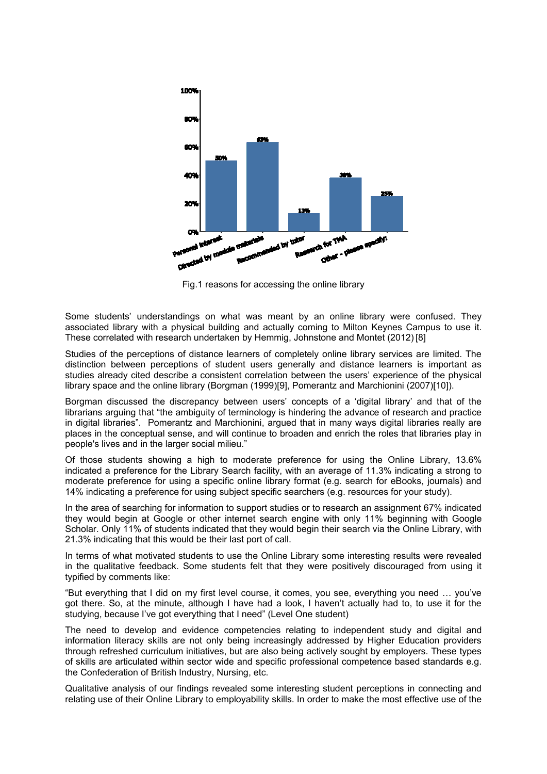

Fig.1 reasons for accessing the online library

Some students' understandings on what was meant by an online library were confused. They associated library with a physical building and actually coming to Milton Keynes Campus to use it. These correlated with research undertaken by Hemmig, Johnstone and Montet (2012) [8]

Studies of the perceptions of distance learners of completely online library services are limited. The distinction between perceptions of student users generally and distance learners is important as studies already cited describe a consistent correlation between the users' experience of the physical library space and the online library (Borgman (1999)[9], Pomerantz and Marchionini (2007)[10]).

Borgman discussed the discrepancy between users' concepts of a 'digital library' and that of the librarians arguing that "the ambiguity of terminology is hindering the advance of research and practice in digital libraries". Pomerantz and Marchionini, argued that in many ways digital libraries really are places in the conceptual sense, and will continue to broaden and enrich the roles that libraries play in people's lives and in the larger social milieu."

Of those students showing a high to moderate preference for using the Online Library, 13.6% indicated a preference for the Library Search facility, with an average of 11.3% indicating a strong to moderate preference for using a specific online library format (e.g. search for eBooks, journals) and 14% indicating a preference for using subject specific searchers (e.g. resources for your study).

In the area of searching for information to support studies or to research an assignment 67% indicated they would begin at Google or other internet search engine with only 11% beginning with Google Scholar. Only 11% of students indicated that they would begin their search via the Online Library, with 21.3% indicating that this would be their last port of call.

In terms of what motivated students to use the Online Library some interesting results were revealed in the qualitative feedback. Some students felt that they were positively discouraged from using it typified by comments like:

"But everything that I did on my first level course, it comes, you see, everything you need … you've got there. So, at the minute, although I have had a look, I haven't actually had to, to use it for the studying, because I've got everything that I need" (Level One student)

The need to develop and evidence competencies relating to independent study and digital and information literacy skills are not only being increasingly addressed by Higher Education providers through refreshed curriculum initiatives, but are also being actively sought by employers. These types of skills are articulated within sector wide and specific professional competence based standards e.g. the Confederation of British Industry, Nursing, etc.

Qualitative analysis of our findings revealed some interesting student perceptions in connecting and relating use of their Online Library to employability skills. In order to make the most effective use of the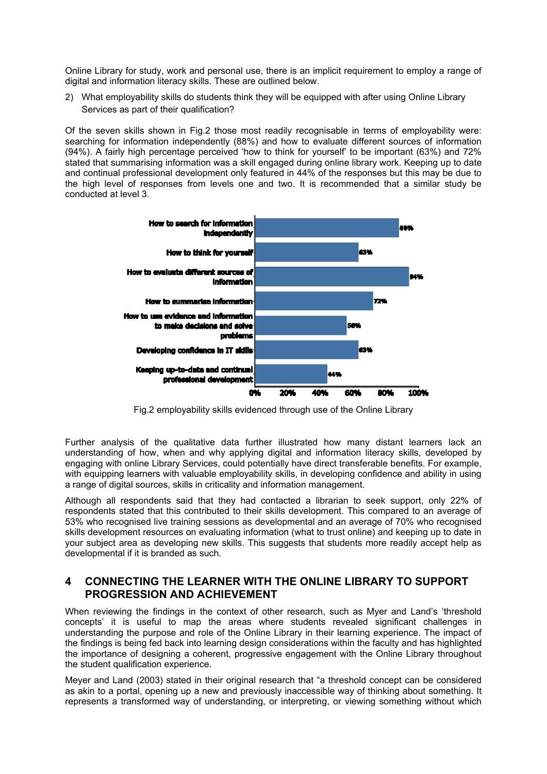Online Library for study, work and personal use, there is an implicit requirement to employ a range of digital and information literacy skills. These are outlined below.

2) What employability skills do students think they will be equipped with after using Online Library Services as part of their qualification?

Of the seven skills shown in Fig.2 those most readily recognisable in terms of employability were: searching for information independently (88%) and how to evaluate different sources of information (94%). A fairly high percentage perceived 'how to think for yourself' to be important (63%) and 72% stated that summarising information was a skill engaged during online library work. Keeping up to date and continual professional development only featured in 44% of the responses but this may be due to the high level of responses from levels one and two. It is recommended that a similar study be conducted at level 3.



Fig.2 employability skills evidenced through use of the Online Library

Further analysis of the qualitative data further illustrated how many distant learners lack an understanding of how, when and why applying digital and information literacy skills, developed by engaging with online Library Services, could potentially have direct transferable benefits. For example, with equipping learners with valuable employability skills, in developing confidence and ability in using a range of digital sources, skills in criticality and information management.

Although all respondents said that they had contacted a librarian to seek support, only 22% of respondents stated that this contributed to their skills development. This compared to an average of 53% who recognised live training sessions as developmental and an average of 70% who recognised skills development resources on evaluating information (what to trust online) and keeping up to date in your subject area as developing new skills. This suggests that students more readily accept help as developmental if it is branded as such.

#### **4 CONNECTING THE LEARNER WITH THE ONLINE LIBRARY TO SUPPORT PROGRESSION AND ACHIEVEMENT**

When reviewing the findings in the context of other research, such as Myer and Land's 'threshold concepts' it is useful to map the areas where students revealed significant challenges in understanding the purpose and role of the Online Library in their learning experience. The impact of the findings is being fed back into learning design considerations within the faculty and has highlighted the importance of designing a coherent, progressive engagement with the Online Library throughout the student qualification experience.

Meyer and Land (2003) stated in their original research that "a threshold concept can be considered as akin to a portal, opening up a new and previously inaccessible way of thinking about something. It represents a transformed way of understanding, or interpreting, or viewing something without which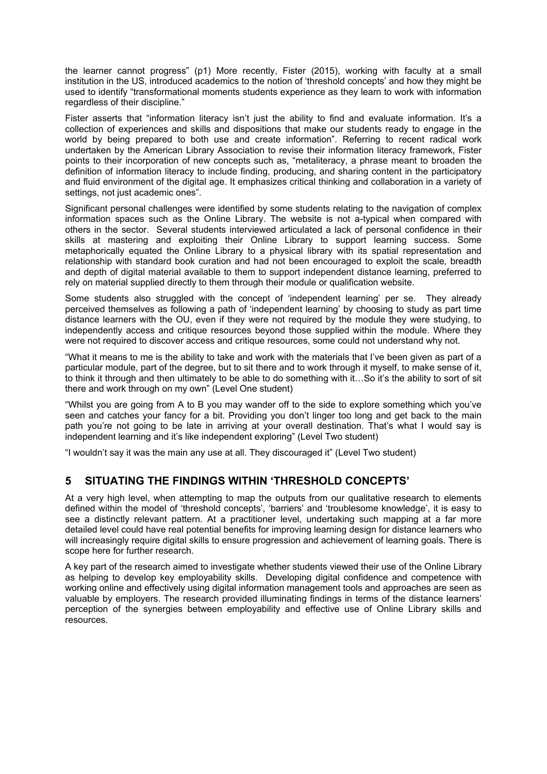the learner cannot progress" (p1) More recently, Fister (2015), working with faculty at a small institution in the US, introduced academics to the notion of 'threshold concepts' and how they might be used to identify "transformational moments students experience as they learn to work with information regardless of their discipline."

Fister asserts that "information literacy isn't just the ability to find and evaluate information. It's a collection of experiences and skills and dispositions that make our students ready to engage in the world by being prepared to both use and create information". Referring to recent radical work undertaken by the American Library Association to revise their information literacy framework, Fister points to their incorporation of new concepts such as, "metaliteracy, a phrase meant to broaden the definition of information literacy to include finding, producing, and sharing content in the participatory and fluid environment of the digital age. It emphasizes critical thinking and collaboration in a variety of settings, not just academic ones".

Significant personal challenges were identified by some students relating to the navigation of complex information spaces such as the Online Library. The website is not a-typical when compared with others in the sector. Several students interviewed articulated a lack of personal confidence in their skills at mastering and exploiting their Online Library to support learning success. Some metaphorically equated the Online Library to a physical library with its spatial representation and relationship with standard book curation and had not been encouraged to exploit the scale, breadth and depth of digital material available to them to support independent distance learning, preferred to rely on material supplied directly to them through their module or qualification website.

Some students also struggled with the concept of 'independent learning' per se. They already perceived themselves as following a path of 'independent learning' by choosing to study as part time distance learners with the OU, even if they were not required by the module they were studying, to independently access and critique resources beyond those supplied within the module. Where they were not required to discover access and critique resources, some could not understand why not.

"What it means to me is the ability to take and work with the materials that I've been given as part of a particular module, part of the degree, but to sit there and to work through it myself, to make sense of it, to think it through and then ultimately to be able to do something with it…So it's the ability to sort of sit there and work through on my own" (Level One student)

"Whilst you are going from A to B you may wander off to the side to explore something which you've seen and catches your fancy for a bit. Providing you don't linger too long and get back to the main path you're not going to be late in arriving at your overall destination. That's what I would say is independent learning and it's like independent exploring" (Level Two student)

"I wouldn't say it was the main any use at all. They discouraged it" (Level Two student)

### **5 SITUATING THE FINDINGS WITHIN 'THRESHOLD CONCEPTS'**

At a very high level, when attempting to map the outputs from our qualitative research to elements defined within the model of 'threshold concepts', 'barriers' and 'troublesome knowledge', it is easy to see a distinctly relevant pattern. At a practitioner level, undertaking such mapping at a far more detailed level could have real potential benefits for improving learning design for distance learners who will increasingly require digital skills to ensure progression and achievement of learning goals. There is scope here for further research.

A key part of the research aimed to investigate whether students viewed their use of the Online Library as helping to develop key employability skills. Developing digital confidence and competence with working online and effectively using digital information management tools and approaches are seen as valuable by employers. The research provided illuminating findings in terms of the distance learners' perception of the synergies between employability and effective use of Online Library skills and resources.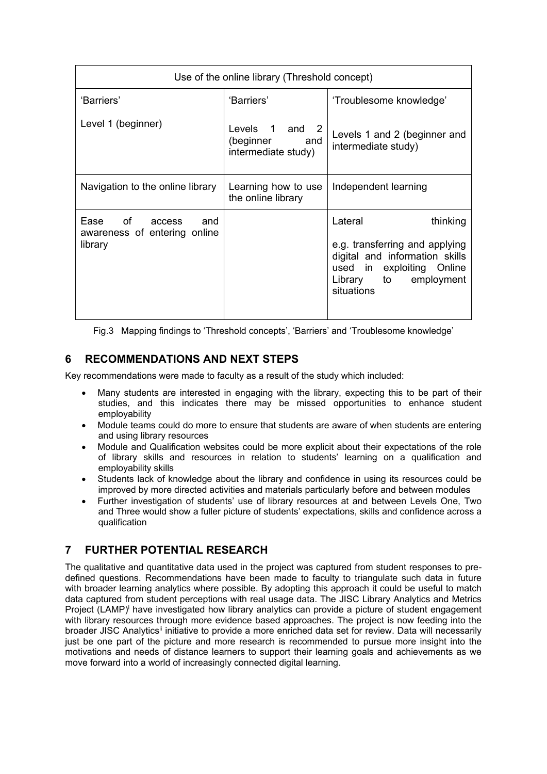| Use of the online library (Threshold concept)                                                                                                                                         |                                                        |                                                                                                                                                                |
|---------------------------------------------------------------------------------------------------------------------------------------------------------------------------------------|--------------------------------------------------------|----------------------------------------------------------------------------------------------------------------------------------------------------------------|
| 'Barriers'                                                                                                                                                                            | 'Barriers'                                             | 'Troublesome knowledge'                                                                                                                                        |
| Level 1 (beginner)                                                                                                                                                                    | Levels 1 and 2<br>(beginner and<br>intermediate study) | Levels 1 and 2 (beginner and<br>intermediate study)                                                                                                            |
| Navigation to the online library                                                                                                                                                      | Learning how to use<br>the online library              | Independent learning                                                                                                                                           |
| of the contract of the contract of the contract of the contract of the contract of the contract of the contract o<br>Ease<br>and<br>access<br>awareness of entering online<br>library |                                                        | Lateral<br>thinking<br>e.g. transferring and applying<br>digital and information skills<br>used in exploiting Online<br>Library to<br>employment<br>situations |

Fig.3 Mapping findings to 'Threshold concepts', 'Barriers' and 'Troublesome knowledge'

## **6 RECOMMENDATIONS AND NEXT STEPS**

Key recommendations were made to faculty as a result of the study which included:

- Many students are interested in engaging with the library, expecting this to be part of their studies, and this indicates there may be missed opportunities to enhance student employability
- Module teams could do more to ensure that students are aware of when students are entering and using library resources
- Module and Qualification websites could be more explicit about their expectations of the role of library skills and resources in relation to students' learning on a qualification and employability skills
- Students lack of knowledge about the library and confidence in using its resources could be improved by more directed activities and materials particularly before and between modules
- Further investigation of students' use of library resources at and between Levels One, Two and Three would show a fuller picture of students' expectations, skills and confidence across a qualification

## **7 FURTHER POTENTIAL RESEARCH**

The qualitative and quantitative data used in the project was captured from student responses to predefined questions. Recommendations have been made to faculty to triangulate such data in future with broader learning analytics where possible. By adopting this approach it could be useful to match data captured from student perceptions with real usage data. The JISC Library Analytics and Metrics Project (LAMP)<sup>i</sup> have investigated how library analytics can provide a picture of student engagement with library resources through more evidence based approaches. The project is now feeding into the broader JISC Analytics<sup>ii</sup> initiative to provide a more enriched data set for review. Data will necessarily just be one part of the picture and more research is recommended to pursue more insight into the motivations and needs of distance learners to support their learning goals and achievements as we move forward into a world of increasingly connected digital learning.